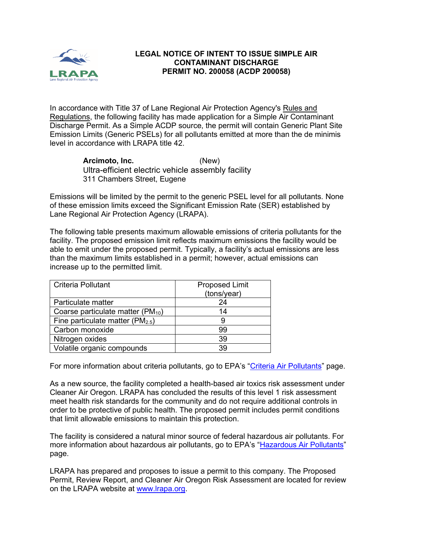

## **LEGAL NOTICE OF INTENT TO ISSUE SIMPLE AIR CONTAMINANT DISCHARGE PERMIT NO. 200058 (ACDP 200058)**

In accordance with Title 37 of Lane Regional Air Protection Agency's Rules and Regulations, the following facility has made application for a Simple Air Contaminant Discharge Permit. As a Simple ACDP source, the permit will contain Generic Plant Site Emission Limits (Generic PSELs) for all pollutants emitted at more than the de minimis level in accordance with LRAPA title 42.

> **Arcimoto, Inc.** (New) Ultra-efficient electric vehicle assembly facility 311 Chambers Street, Eugene

Emissions will be limited by the permit to the generic PSEL level for all pollutants. None of these emission limits exceed the Significant Emission Rate (SER) established by Lane Regional Air Protection Agency (LRAPA).

The following table presents maximum allowable emissions of criteria pollutants for the facility. The proposed emission limit reflects maximum emissions the facility would be able to emit under the proposed permit. Typically, a facility's actual emissions are less than the maximum limits established in a permit; however, actual emissions can increase up to the permitted limit.

| <b>Criteria Pollutant</b>               | <b>Proposed Limit</b><br>(tons/year) |
|-----------------------------------------|--------------------------------------|
| Particulate matter                      | 24                                   |
| Coarse particulate matter ( $PM_{10}$ ) | 14                                   |
| Fine particulate matter ( $PM_{2.5}$ )  |                                      |
| Carbon monoxide                         | 99                                   |
| Nitrogen oxides                         | 39                                   |
| Volatile organic compounds              | 39                                   |

For more information about criteria pollutants, go to EPA's ["Criteria Air Pollutants"](https://www.epa.gov/criteria-air-pollutants) page.

As a new source, the facility completed a health-based air toxics risk assessment under Cleaner Air Oregon. LRAPA has concluded the results of this level 1 risk assessment meet health risk standards for the community and do not require additional controls in order to be protective of public health. The proposed permit includes permit conditions that limit allowable emissions to maintain this protection.

The facility is considered a natural minor source of federal hazardous air pollutants. For more information about hazardous air pollutants, go to EPA's ["Hazardous Air Pollutants"](https://www.epa.gov/haps) page.

LRAPA has prepared and proposes to issue a permit to this company. The Proposed Permit, Review Report, and Cleaner Air Oregon Risk Assessment are located for review on the LRAPA website at [www.lrapa.org.](http://www.lrapa.org/)